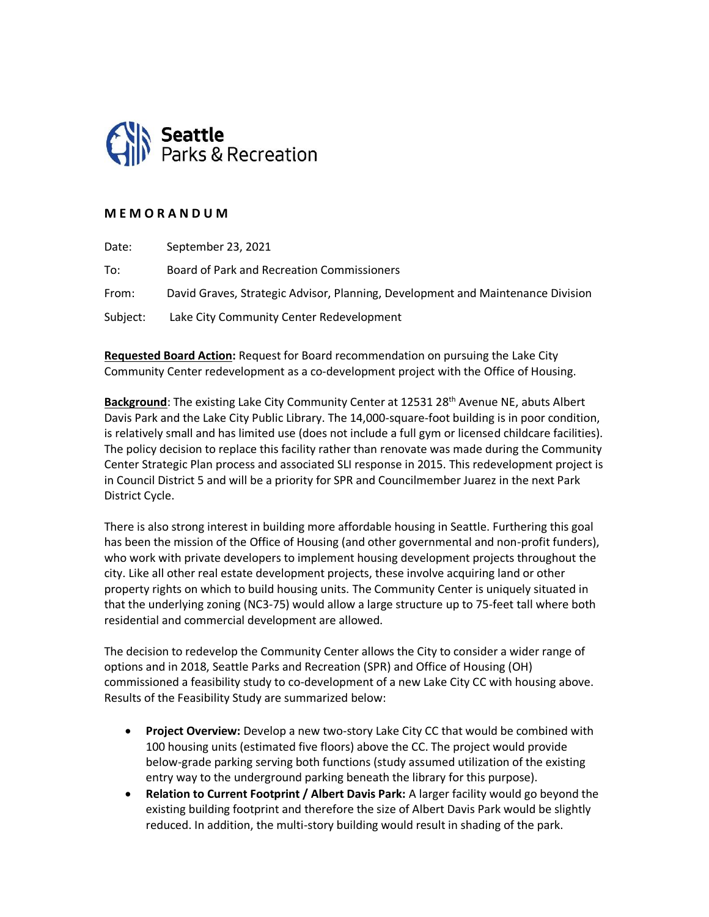

## **M E M O R A N D U M**

| Date:    | September 23, 2021                                                              |
|----------|---------------------------------------------------------------------------------|
| To:      | Board of Park and Recreation Commissioners                                      |
| From:    | David Graves, Strategic Advisor, Planning, Development and Maintenance Division |
| Subject: | Lake City Community Center Redevelopment                                        |

**Requested Board Action:** Request for Board recommendation on pursuing the Lake City Community Center redevelopment as a co-development project with the Office of Housing.

**Background**: The existing Lake City Community Center at 12531 28th Avenue NE, abuts Albert Davis Park and the Lake City Public Library. The 14,000-square-foot building is in poor condition, is relatively small and has limited use (does not include a full gym or licensed childcare facilities). The policy decision to replace this facility rather than renovate was made during the Community Center Strategic Plan process and associated SLI response in 2015. This redevelopment project is in Council District 5 and will be a priority for SPR and Councilmember Juarez in the next Park District Cycle.

There is also strong interest in building more affordable housing in Seattle. Furthering this goal has been the mission of the Office of Housing (and other governmental and non-profit funders), who work with private developers to implement housing development projects throughout the city. Like all other real estate development projects, these involve acquiring land or other property rights on which to build housing units. The Community Center is uniquely situated in that the underlying zoning (NC3-75) would allow a large structure up to 75-feet tall where both residential and commercial development are allowed.

The decision to redevelop the Community Center allows the City to consider a wider range of options and in 2018, Seattle Parks and Recreation (SPR) and Office of Housing (OH) commissioned a feasibility study to co-development of a new Lake City CC with housing above. Results of the Feasibility Study are summarized below:

- **Project Overview:** Develop a new two-story Lake City CC that would be combined with 100 housing units (estimated five floors) above the CC. The project would provide below-grade parking serving both functions (study assumed utilization of the existing entry way to the underground parking beneath the library for this purpose).
- **Relation to Current Footprint / Albert Davis Park:** A larger facility would go beyond the existing building footprint and therefore the size of Albert Davis Park would be slightly reduced. In addition, the multi-story building would result in shading of the park.